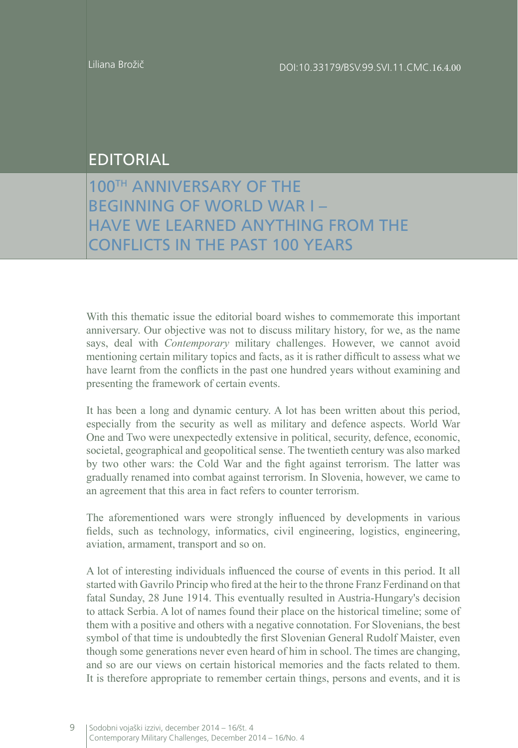## EDITORIAL

100TH ANNIVERSARY OF THE BEGINNING OF WORLD WAR I – HAVE WE LEARNED ANYTHING FROM THE CONFLICTS IN THE PAST 100 YEARS

With this thematic issue the editorial board wishes to commemorate this important anniversary. Our objective was not to discuss military history, for we, as the name says, deal with *Contemporary* military challenges. However, we cannot avoid mentioning certain military topics and facts, as it is rather difficult to assess what we have learnt from the conflicts in the past one hundred years without examining and presenting the framework of certain events.

It has been a long and dynamic century. A lot has been written about this period, especially from the security as well as military and defence aspects. World War One and Two were unexpectedly extensive in political, security, defence, economic, societal, geographical and geopolitical sense. The twentieth century was also marked by two other wars: the Cold War and the fight against terrorism. The latter was gradually renamed into combat against terrorism. In Slovenia, however, we came to an agreement that this area in fact refers to counter terrorism.

The aforementioned wars were strongly influenced by developments in various fields, such as technology, informatics, civil engineering, logistics, engineering, aviation, armament, transport and so on.

A lot of interesting individuals influenced the course of events in this period. It all started with Gavrilo Princip who fired at the heir to the throne Franz Ferdinand on that fatal Sunday, 28 June 1914. This eventually resulted in Austria-Hungary's decision to attack Serbia. A lot of names found their place on the historical timeline; some of them with a positive and others with a negative connotation. For Slovenians, the best symbol of that time is undoubtedly the first Slovenian General Rudolf Maister, even though some generations never even heard of him in school. The times are changing, and so are our views on certain historical memories and the facts related to them. It is therefore appropriate to remember certain things, persons and events, and it is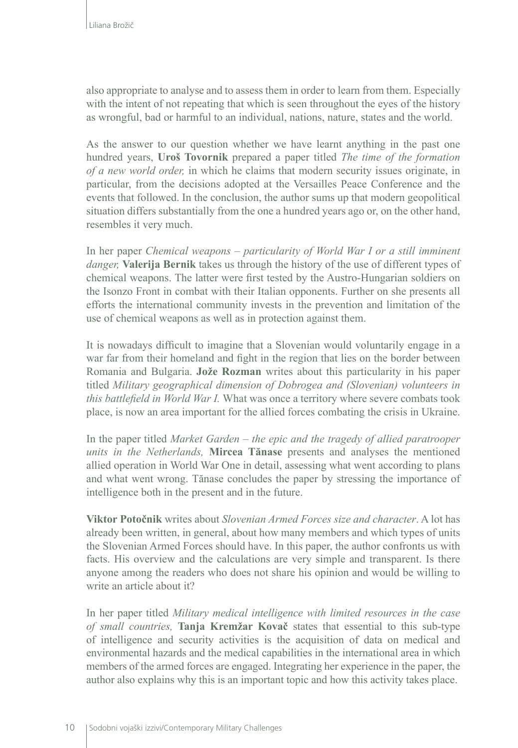also appropriate to analyse and to assess them in order to learn from them. Especially with the intent of not repeating that which is seen throughout the eyes of the history as wrongful, bad or harmful to an individual, nations, nature, states and the world.

As the answer to our question whether we have learnt anything in the past one hundred years, **Uroš Tovornik** prepared a paper titled *The time of the formation of a new world order,* in which he claims that modern security issues originate, in particular, from the decisions adopted at the Versailles Peace Conference and the events that followed. In the conclusion, the author sums up that modern geopolitical situation differs substantially from the one a hundred years ago or, on the other hand, resembles it very much.

In her paper *Chemical weapons – particularity of World War I or a still imminent danger,* **Valerija Bernik** takes us through the history of the use of different types of chemical weapons. The latter were first tested by the Austro-Hungarian soldiers on the Isonzo Front in combat with their Italian opponents. Further on she presents all efforts the international community invests in the prevention and limitation of the use of chemical weapons as well as in protection against them.

It is nowadays difficult to imagine that a Slovenian would voluntarily engage in a war far from their homeland and fight in the region that lies on the border between Romania and Bulgaria. **Jože Rozman** writes about this particularity in his paper titled *Military geographical dimension of Dobrogea and (Slovenian) volunteers in this battlefield in World War I.* What was once a territory where severe combats took place, is now an area important for the allied forces combating the crisis in Ukraine.

In the paper titled *Market Garden – the epic and the tragedy of allied paratrooper units in the Netherlands,* **Mircea Tănase** presents and analyses the mentioned allied operation in World War One in detail, assessing what went according to plans and what went wrong. Tănase concludes the paper by stressing the importance of intelligence both in the present and in the future.

**Viktor Potočnik** writes about *Slovenian Armed Forces size and character*. A lot has already been written, in general, about how many members and which types of units the Slovenian Armed Forces should have. In this paper, the author confronts us with facts. His overview and the calculations are very simple and transparent. Is there anyone among the readers who does not share his opinion and would be willing to write an article about it?

In her paper titled *Military medical intelligence with limited resources in the case of small countries,* **Tanja Kremžar Kovač** states that essential to this sub-type of intelligence and security activities is the acquisition of data on medical and environmental hazards and the medical capabilities in the international area in which members of the armed forces are engaged. Integrating her experience in the paper, the author also explains why this is an important topic and how this activity takes place.